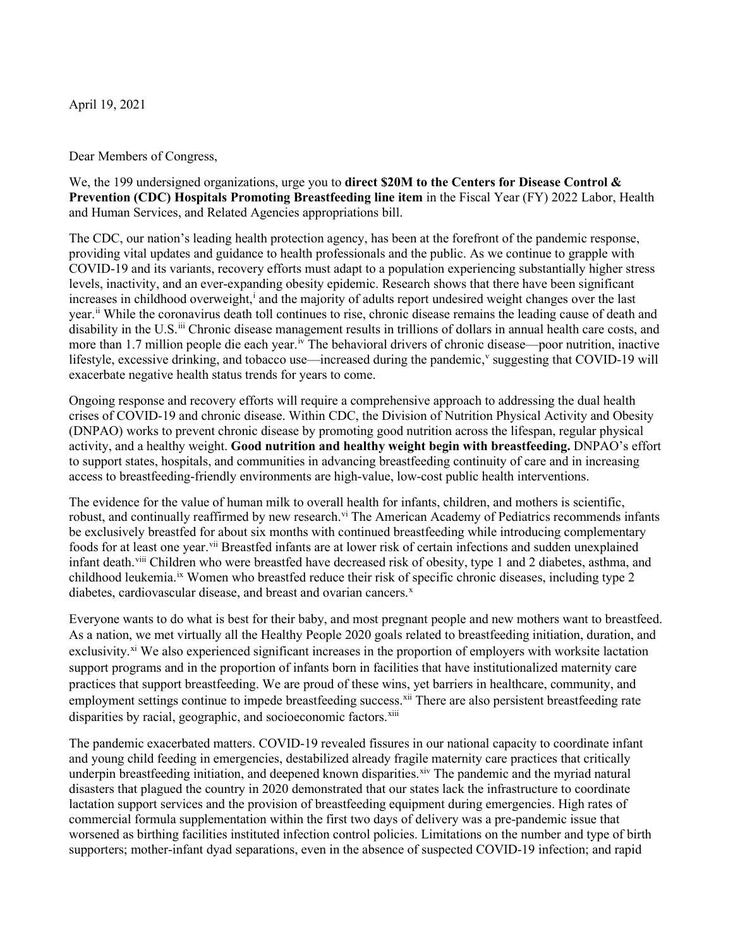April 19, 2021

Dear Members of Congress,

We, the 199 undersigned organizations, urge you to **direct \$20M to the Centers for Disease Control & Prevention (CDC) Hospitals Promoting Breastfeeding line item** in the Fiscal Year (FY) 2022 Labor, Health and Human Services, and Related Agencies appropriations bill.

The CDC, our nation's leading health protection agency, has been at the forefront of the pandemic response, providing vital updates and guidance to health professionals and the public. As we continue to grapple with COVID-19 and its variants, recovery efforts must adapt to a population experiencing substantially higher stress levels, inactivity, and an ever-expanding obesity epidemic. Research shows that there have been significant [i](#page-5-0)ncreases in childhood overweight,<sup>i</sup> and the majority of adults report undesired weight changes over the last year.<sup>[ii](#page-5-1)</sup> While the coronavirus death toll continues to rise, chronic disease remains the leading cause of death and disability in the U.S.<sup>[iii](#page-5-2)</sup> Chronic disease management results in trillions of dollars in annual health care costs, and more than 1.7 million people die each year.<sup>[iv](#page-5-3)</sup> The behavioral drivers of chronic disease—poor nutrition, inactive lifestyle, excessi[v](#page-5-4)e drinking, and tobacco use—increased during the pandemic,<sup>v</sup> suggesting that COVID-19 will exacerbate negative health status trends for years to come.

Ongoing response and recovery efforts will require a comprehensive approach to addressing the dual health crises of COVID-19 and chronic disease. Within CDC, the Division of Nutrition Physical Activity and Obesity (DNPAO) works to prevent chronic disease by promoting good nutrition across the lifespan, regular physical activity, and a healthy weight. **Good nutrition and healthy weight begin with breastfeeding.** DNPAO's effort to support states, hospitals, and communities in advancing breastfeeding continuity of care and in increasing access to breastfeeding-friendly environments are high-value, low-cost public health interventions.

The evidence for the value of human milk to overall health for infants, children, and mothers is scientific, robust, and continually reaffirmed by new research.<sup>vi</sup> The American Academy of Pediatrics recommends infants be exclusively breastfed for about six months with continued breastfeeding while introducing complementary foods for at least one year.[vii](#page-5-6) Breastfed infants are at lower risk of certain infections and sudden unexplained infant death.<sup>[viii](#page-5-7)</sup> Children who were breastfed have decreased risk of obesity, type 1 and 2 diabetes, asthma, and childhood leukemia.[ix](#page-5-8) Women who breastfed reduce their risk of specific chronic diseases, including type 2 diabetes, cardiovascular disease, and breast and ovarian cancers.<sup>[x](#page-5-9)</sup>

Everyone wants to do what is best for their baby, and most pregnant people and new mothers want to breastfeed. As a nation, we met virtually all the Healthy People 2020 goals related to breastfeeding initiation, duration, and exclusivity.<sup>[xi](#page-5-10)</sup> We also experienced significant increases in the proportion of employers with worksite lactation support programs and in the proportion of infants born in facilities that have institutionalized maternity care practices that support breastfeeding. We are proud of these wins, yet barriers in healthcare, community, and employment settings continue to impede breastfeeding success. Xii There are also persistent breastfeeding rate disparities by racial, geographic, and socioeconomic factors. Xiii

The pandemic exacerbated matters. COVID-19 revealed fissures in our national capacity to coordinate infant and young child feeding in emergencies, destabilized already fragile maternity care practices that critically underpin breastfeeding initiation, and deepened known disparities. Xiv The pandemic and the myriad natural disasters that plagued the country in 2020 demonstrated that our states lack the infrastructure to coordinate lactation support services and the provision of breastfeeding equipment during emergencies. High rates of commercial formula supplementation within the first two days of delivery was a pre-pandemic issue that worsened as birthing facilities instituted infection control policies. Limitations on the number and type of birth supporters; mother-infant dyad separations, even in the absence of suspected COVID-19 infection; and rapid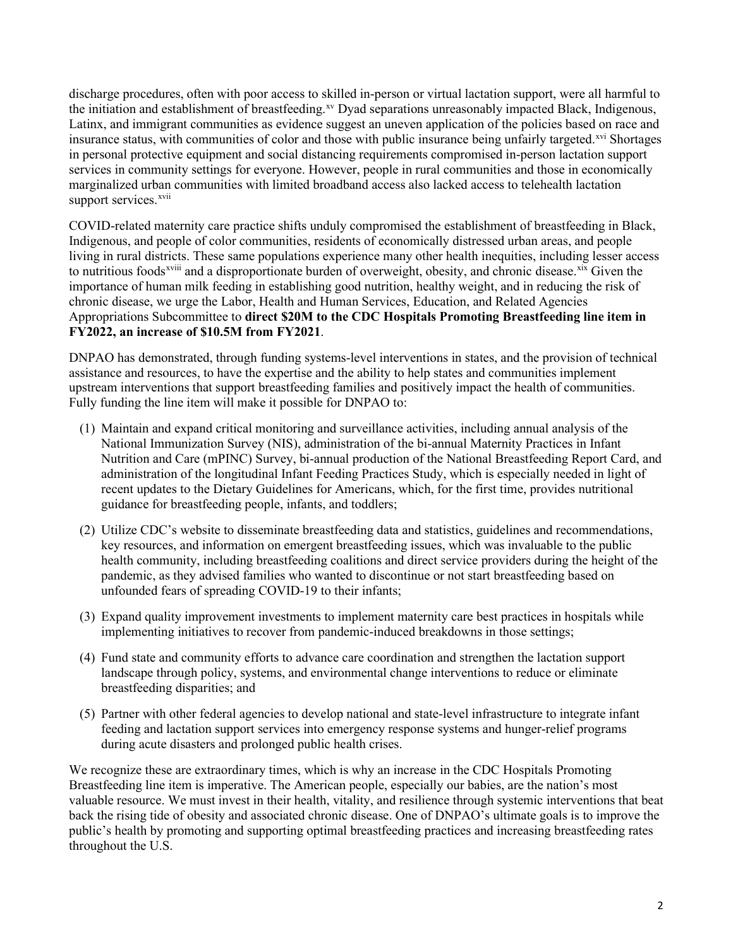discharge procedures, often with poor access to skilled in-person or virtual lactation support, were all harmful to the initiation and establishment of breastfeeding.<sup>[xv](#page-5-14)</sup> Dyad separations unreasonably impacted Black, Indigenous, Latinx, and immigrant communities as evidence suggest an uneven application of the policies based on race and insurance status, with communities of color and those with public insurance being unfairly targeted.<sup>[xvi](#page-5-15)</sup> Shortages in personal protective equipment and social distancing requirements compromised in-person lactation support services in community settings for everyone. However, people in rural communities and those in economically marginalized urban communities with limited broadband access also lacked access to telehealth lactation support services.<sup>[xvii](#page-5-16)</sup>

COVID-related maternity care practice shifts unduly compromised the establishment of breastfeeding in Black, Indigenous, and people of color communities, residents of economically distressed urban areas, and people living in rural district[s](#page-5-17). These same populations experience many other health inequities, including lesser access to nutritious foods<sup>xviii</sup> and a disproportionate burden of overweight, obesity, and chronic disease. <sup>[xix](#page-5-18)</sup> Given the importance of human milk feeding in establishing good nutrition, healthy weight, and in reducing the risk of chronic disease, we urge the Labor, Health and Human Services, Education, and Related Agencies Appropriations Subcommittee to **direct \$20M to the CDC Hospitals Promoting Breastfeeding line item in FY2022, an increase of \$10.5M from FY2021**.

DNPAO has demonstrated, through funding systems-level interventions in states, and the provision of technical assistance and resources, to have the expertise and the ability to help states and communities implement upstream interventions that support breastfeeding families and positively impact the health of communities. Fully funding the line item will make it possible for DNPAO to:

- (1) Maintain and expand critical monitoring and surveillance activities, including annual analysis of the National Immunization Survey (NIS), administration of the bi-annual Maternity Practices in Infant Nutrition and Care (mPINC) Survey, bi-annual production of the National Breastfeeding Report Card, and administration of the longitudinal Infant Feeding Practices Study, which is especially needed in light of recent updates to the Dietary Guidelines for Americans, which, for the first time, provides nutritional guidance for breastfeeding people, infants, and toddlers;
- (2) Utilize CDC's website to disseminate breastfeeding data and statistics, guidelines and recommendations, key resources, and information on emergent breastfeeding issues, which was invaluable to the public health community, including breastfeeding coalitions and direct service providers during the height of the pandemic, as they advised families who wanted to discontinue or not start breastfeeding based on unfounded fears of spreading COVID-19 to their infants;
- (3) Expand quality improvement investments to implement maternity care best practices in hospitals while implementing initiatives to recover from pandemic-induced breakdowns in those settings;
- (4) Fund state and community efforts to advance care coordination and strengthen the lactation support landscape through policy, systems, and environmental change interventions to reduce or eliminate breastfeeding disparities; and
- (5) Partner with other federal agencies to develop national and state-level infrastructure to integrate infant feeding and lactation support services into emergency response systems and hunger-relief programs during acute disasters and prolonged public health crises.

We recognize these are extraordinary times, which is why an increase in the CDC Hospitals Promoting Breastfeeding line item is imperative. The American people, especially our babies, are the nation's most valuable resource. We must invest in their health, vitality, and resilience through systemic interventions that beat back the rising tide of obesity and associated chronic disease. One of DNPAO's ultimate goals is to improve the public's health by promoting and supporting optimal breastfeeding practices and increasing breastfeeding rates throughout the U.S.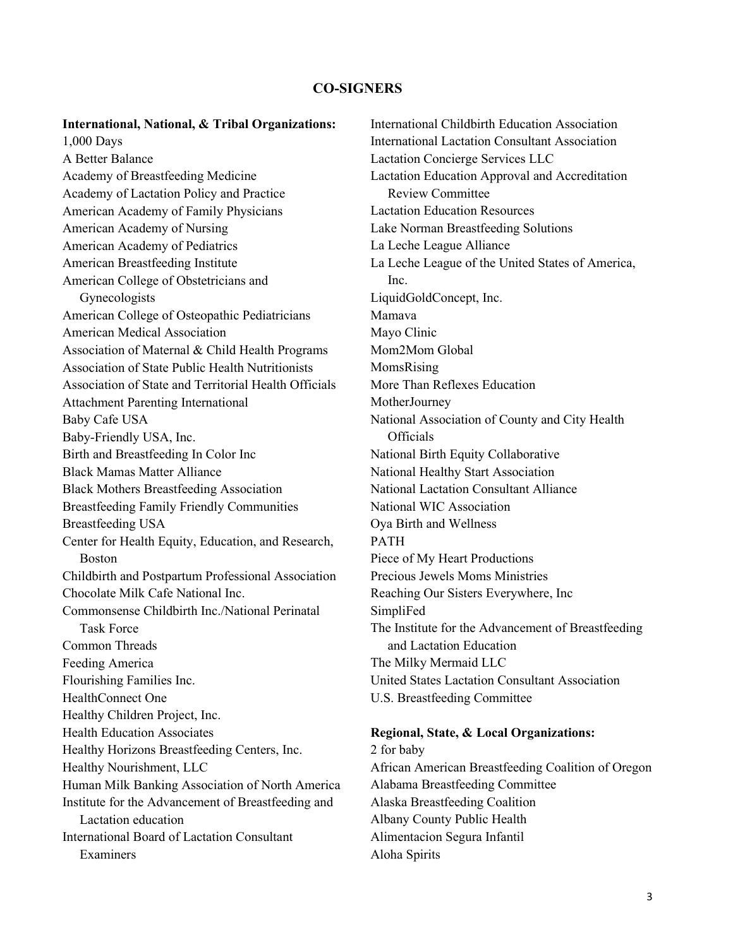## **CO-SIGNERS**

## **International, National, & Tribal Organizations:**

1,000 Days A Better Balance Academy of Breastfeeding Medicine Academy of Lactation Policy and Practice American Academy of Family Physicians American Academy of Nursing American Academy of Pediatrics American Breastfeeding Institute American College of Obstetricians and Gynecologists American College of Osteopathic Pediatricians American Medical Association Association of Maternal & Child Health Programs Association of State Public Health Nutritionists Association of State and Territorial Health Officials Attachment Parenting International Baby Cafe USA Baby-Friendly USA, Inc. Birth and Breastfeeding In Color Inc Black Mamas Matter Alliance Black Mothers Breastfeeding Association Breastfeeding Family Friendly Communities Breastfeeding USA Center for Health Equity, Education, and Research, Boston Childbirth and Postpartum Professional Association Chocolate Milk Cafe National Inc. Commonsense Childbirth Inc./National Perinatal Task Force Common Threads Feeding America Flourishing Families Inc. HealthConnect One Healthy Children Project, Inc. Health Education Associates Healthy Horizons Breastfeeding Centers, Inc. Healthy Nourishment, LLC Human Milk Banking Association of North America Institute for the Advancement of Breastfeeding and Lactation education International Board of Lactation Consultant Examiners

International Childbirth Education Association International Lactation Consultant Association Lactation Concierge Services LLC Lactation Education Approval and Accreditation Review Committee Lactation Education Resources Lake Norman Breastfeeding Solutions La Leche League Alliance La Leche League of the United States of America, Inc. LiquidGoldConcept, Inc. Mamava Mayo Clinic Mom2Mom Global MomsRising More Than Reflexes Education MotherJourney National Association of County and City Health **Officials** National Birth Equity Collaborative National Healthy Start Association National Lactation Consultant Alliance National WIC Association Oya Birth and Wellness PATH Piece of My Heart Productions Precious Jewels Moms Ministries Reaching Our Sisters Everywhere, Inc SimpliFed The Institute for the Advancement of Breastfeeding and Lactation Education The Milky Mermaid LLC United States Lactation Consultant Association U.S. Breastfeeding Committee

## **Regional, State, & Local Organizations:**

2 for baby African American Breastfeeding Coalition of Oregon Alabama Breastfeeding Committee Alaska Breastfeeding Coalition Albany County Public Health Alimentacion Segura Infantil Aloha Spirits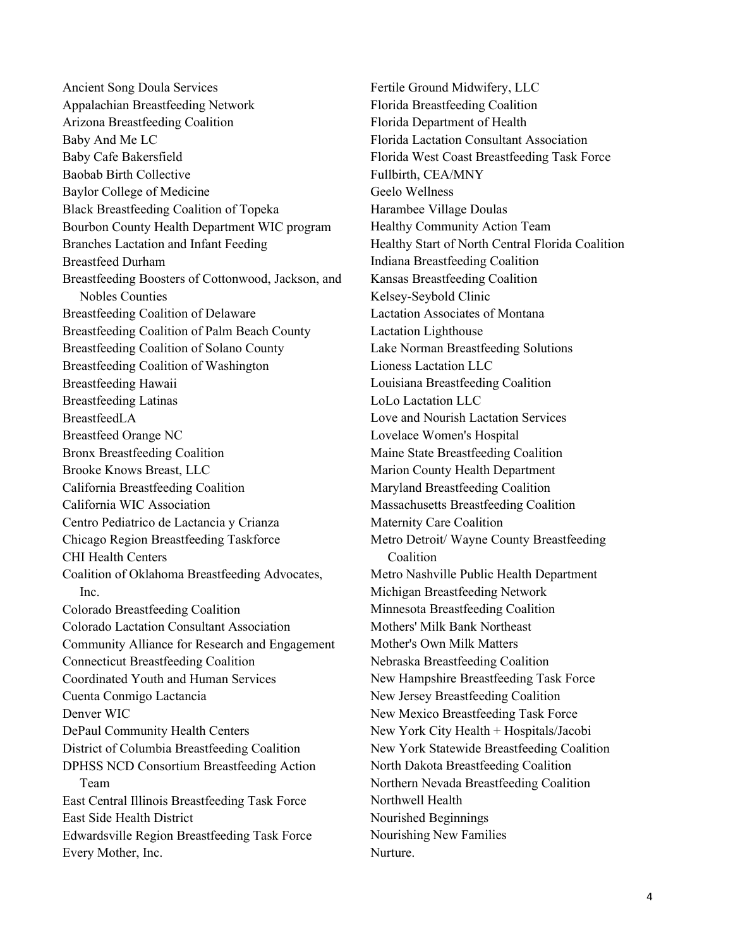Ancient Song Doula Services Appalachian Breastfeeding Network Arizona Breastfeeding Coalition Baby And Me LC Baby Cafe Bakersfield Baobab Birth Collective Baylor College of Medicine Black Breastfeeding Coalition of Topeka Bourbon County Health Department WIC program Branches Lactation and Infant Feeding Breastfeed Durham Breastfeeding Boosters of Cottonwood, Jackson, and Nobles Counties Breastfeeding Coalition of Delaware Breastfeeding Coalition of Palm Beach County Breastfeeding Coalition of Solano County Breastfeeding Coalition of Washington Breastfeeding Hawaii Breastfeeding Latinas BreastfeedLA Breastfeed Orange NC Bronx Breastfeeding Coalition Brooke Knows Breast, LLC California Breastfeeding Coalition California WIC Association Centro Pediatrico de Lactancia y Crianza Chicago Region Breastfeeding Taskforce CHI Health Centers Coalition of Oklahoma Breastfeeding Advocates, Inc. Colorado Breastfeeding Coalition Colorado Lactation Consultant Association Community Alliance for Research and Engagement Connecticut Breastfeeding Coalition Coordinated Youth and Human Services Cuenta Conmigo Lactancia Denver WIC DePaul Community Health Centers District of Columbia Breastfeeding Coalition DPHSS NCD Consortium Breastfeeding Action Team East Central Illinois Breastfeeding Task Force East Side Health District Edwardsville Region Breastfeeding Task Force Every Mother, Inc.

Fertile Ground Midwifery, LLC Florida Breastfeeding Coalition Florida Department of Health Florida Lactation Consultant Association Florida West Coast Breastfeeding Task Force Fullbirth, CEA/MNY Geelo Wellness Harambee Village Doulas Healthy Community Action Team Healthy Start of North Central Florida Coalition Indiana Breastfeeding Coalition Kansas Breastfeeding Coalition Kelsey-Seybold Clinic Lactation Associates of Montana Lactation Lighthouse Lake Norman Breastfeeding Solutions Lioness Lactation LLC Louisiana Breastfeeding Coalition LoLo Lactation LLC Love and Nourish Lactation Services Lovelace Women's Hospital Maine State Breastfeeding Coalition Marion County Health Department Maryland Breastfeeding Coalition Massachusetts Breastfeeding Coalition Maternity Care Coalition Metro Detroit/ Wayne County Breastfeeding Coalition Metro Nashville Public Health Department Michigan Breastfeeding Network Minnesota Breastfeeding Coalition Mothers' Milk Bank Northeast Mother's Own Milk Matters Nebraska Breastfeeding Coalition New Hampshire Breastfeeding Task Force New Jersey Breastfeeding Coalition New Mexico Breastfeeding Task Force New York City Health + Hospitals/Jacobi New York Statewide Breastfeeding Coalition North Dakota Breastfeeding Coalition Northern Nevada Breastfeeding Coalition Northwell Health Nourished Beginnings Nourishing New Families Nurture.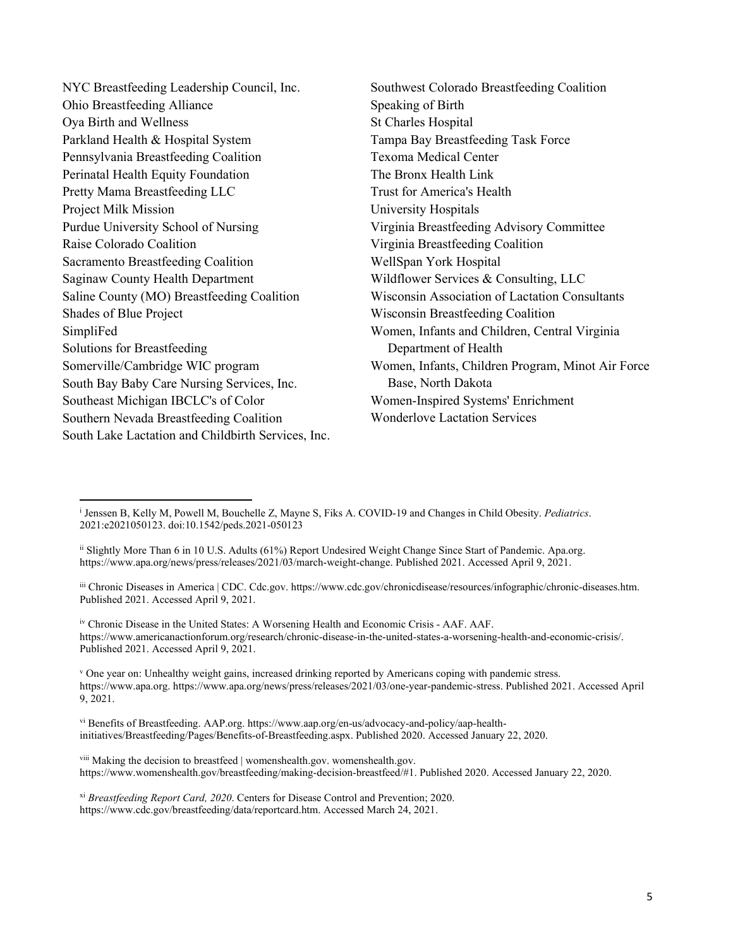| NYC Breastfeeding Leadership Council, Inc.         | Southwest Colorado Breastfeeding Coalition            |
|----------------------------------------------------|-------------------------------------------------------|
| Ohio Breastfeeding Alliance                        | Speaking of Birth                                     |
| Oya Birth and Wellness                             | St Charles Hospital                                   |
| Parkland Health & Hospital System                  | Tampa Bay Breastfeeding Task Force                    |
| Pennsylvania Breastfeeding Coalition               | <b>Texoma Medical Center</b>                          |
| Perinatal Health Equity Foundation                 | The Bronx Health Link                                 |
| Pretty Mama Breastfeeding LLC                      | Trust for America's Health                            |
| Project Milk Mission                               | University Hospitals                                  |
| Purdue University School of Nursing                | Virginia Breastfeeding Advisory Committee             |
| Raise Colorado Coalition                           | Virginia Breastfeeding Coalition                      |
| Sacramento Breastfeeding Coalition                 | WellSpan York Hospital                                |
| Saginaw County Health Department                   | Wildflower Services & Consulting, LLC                 |
| Saline County (MO) Breastfeeding Coalition         | <b>Wisconsin Association of Lactation Consultants</b> |
| Shades of Blue Project                             | Wisconsin Breastfeeding Coalition                     |
| SimpliFed                                          | Women, Infants and Children, Central Virginia         |
| <b>Solutions for Breastfeeding</b>                 | Department of Health                                  |
| Somerville/Cambridge WIC program                   | Women, Infants, Children Program, Minot Air Force     |
| South Bay Baby Care Nursing Services, Inc.         | Base, North Dakota                                    |
| Southeast Michigan IBCLC's of Color                | Women-Inspired Systems' Enrichment                    |
| Southern Nevada Breastfeeding Coalition            | <b>Wonderlove Lactation Services</b>                  |
| South Lake Lactation and Childbirth Services, Inc. |                                                       |

<sup>i</sup> Jenssen B, Kelly M, Powell M, Bouchelle Z, Mayne S, Fiks A. COVID-19 and Changes in Child Obesity. *Pediatrics*. 2021:e2021050123. doi:10.1542/peds.2021-050123

iii Chronic Diseases in America | CDC. Cdc.gov. https://www.cdc.gov/chronicdisease/resources/infographic/chronic-diseases.htm. Published 2021. Accessed April 9, 2021.

iv Chronic Disease in the United States: A Worsening Health and Economic Crisis - AAF. AAF. https://www.americanactionforum.org/research/chronic-disease-in-the-united-states-a-worsening-health-and-economic-crisis/. Published 2021. Accessed April 9, 2021.

<sup>v</sup> One year on: Unhealthy weight gains, increased drinking reported by Americans coping with pandemic stress. https://www.apa.org. https://www.apa.org/news/press/releases/2021/03/one-year-pandemic-stress. Published 2021. Accessed April 9, 2021.

vi Benefits of Breastfeeding. AAP.org. https://www.aap.org/en-us/advocacy-and-policy/aap-healthinitiatives/Breastfeeding/Pages/Benefits-of-Breastfeeding.aspx. Published 2020. Accessed January 22, 2020.

viii Making the decision to breastfeed | womenshealth.gov. womenshealth.gov. https://www.womenshealth.gov/breastfeeding/making-decision-breastfeed/#1. Published 2020. Accessed January 22, 2020.

xi *Breastfeeding Report Card, 2020*. Centers for Disease Control and Prevention; 2020. https://www.cdc.gov/breastfeeding/data/reportcard.htm. Accessed March 24, 2021.

ii Slightly More Than 6 in 10 U.S. Adults (61%) Report Undesired Weight Change Since Start of Pandemic. Apa.org. https://www.apa.org/news/press/releases/2021/03/march-weight-change. Published 2021. Accessed April 9, 2021.